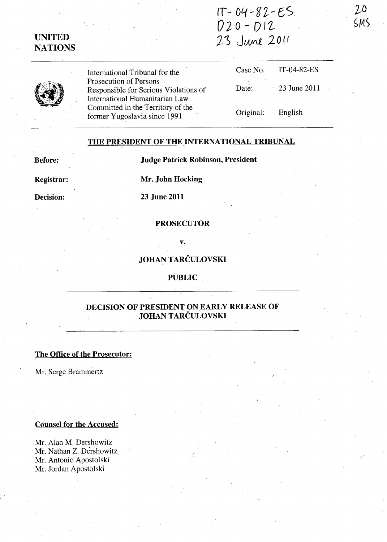# IT - 0'1- fJ *'t* ~ eS *OlD* - DI1- UNITED  $23$  June 2011

# UNITED

International Tribunal for the Prosecution of Persons Responsible for Serious Violations of International Humanitarian Law. Committed in the Territory of the former Yugoslavia since 1991

| Case No.  | IT-04-82-ES     |
|-----------|-----------------|
| Date:     | $-23$ June 2011 |
| Original: | English         |

)

#### THE PRESIDENT OF THE INTERNATIONAL TRIBUNAL

Before: Judge Patrick Robinson, President

Registrar: Mr. John Hocking

Decision: 23 June 2011

#### **PROSECUTOR**

v.

# JOHAN TARCULOVSKI

### PUBLIC

# DECISION OF PRESIDENT ON EARLY RELEASE OF JOHAN TARCULOVSKI

## The Office of the Prosecutor:

Mr. Serge Brammertz

#### Counsel for the Accused:

Mr. Alan M. Dershowitz Mr. Nathan Z. Dershowitz Mr. Antonio Apostolski Mr. Jordan Apostolski

 $20$  $SMS$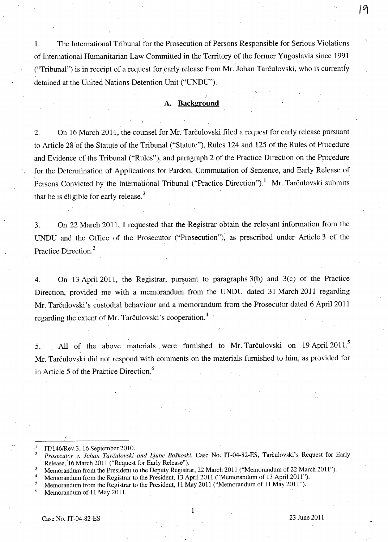1. The International Tribunal for the Prosecution of Persons Responsible for Serious Violations of International Humanitarian Law Committed in the Territory of the former Yugoslavia since 1991 ("Tribunal") is in receipt of a request for early release from Mr. lohan Tarculovski, who is currently detained at the United Nations Detention Unit ("UNDU").

#### **A. Background**

2. On 16 March 2011, the counsel for Mr. Tarčulovski filed a request for early release pursuant to Article 28 of the Statute of the Tribunal ("Statute"), Rules 124 and 125 of the Rules of Procedure and Evidence of the Tribunal ("Rules"), and paragraph 2 of the Practice Direction on the Procedure for the Determination of Applications for Pardon, Commutation of Sentence, and Early Release of Persons Convicted by the International Tribunal ("Practice Direction").<sup>1</sup> Mr. Tarčulovski submits that he is eligible for early release. $<sup>2</sup>$ </sup>

3. On 22 March 2011, I requested that the Registrar obtain the relevant information from the UNDU and the Office of the Prosecutor ("Prosecution"), as prescribed under Article 3 of the Practice Direction.<sup>3</sup>

4. On 13 April 2011, the Registrar, pursuant to paragraphs 3(b) and 3(c) of the Practice Direction, provided me with a memorandum from the UNDU dated 31 March 2011 regarding Mr. Tarčulovski's custodial behaviour and a memorandum from the Prosecutor dated 6 April 2011 regarding the extent of Mr. Tarculovski's cooperation.<sup>4</sup>

5. All of the above materials were furnished to Mr. Tarculovski on 19 April 2011.<sup>5</sup> Mr. Tarčulovski did not respond with comments on the materials furnished to him, as provided for in Article 5 of the Practice Direction.<sup>6</sup>

1

(

IT/146/Rev.3, 16 September 2010.

*<sup>2</sup> Prosecutor* v. *lohan Tarculovski and Ljube Boskoski,* Case No. IT-04-82-ES, Tarculovski's Request for Early Release, '16 March 2011 ("Request for Early Release").

Memorandum from the President to the Deputy Registrar, 22 March 2011 ("Memorandum of 22 March 2011").

Memorandum from the Registrar to the President, 13 April 2011 ("Memorandum of 13 April 2011").

Memorandum from the Registrar to the President, 11 May 2011 ("Memorandum of 11 May 2011").

Memorandum of 11 May 2011.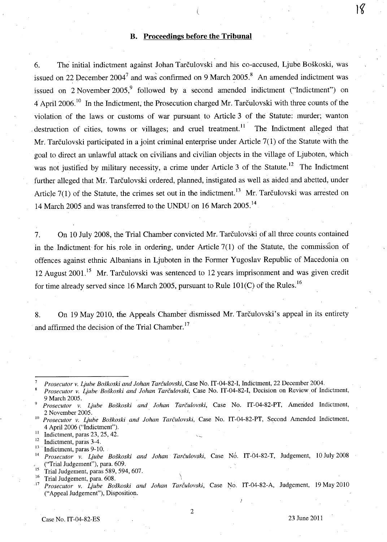# **B. Proceedings before the Tribunal**

l

6. The initial indictment against Johan Tarculovski and his co-accused, Ljube Boskoski, was issued on 22 December 2004<sup>7</sup> and was confirmed on 9 March 2005.<sup>8</sup> An amended indictment was issued on 2 November 2005,<sup>9</sup> followed by a second amended indictment ("Indictment") on 4 April 2006.10 **In** the Indictment, the Prosecution charged Mr. Tarculovski with three counts of the violation of the laws or customs of war pursuant to Article 3 of the Statute: murder; wanton  $d$  destruction of cities, towns or villages; and cruel treatment.<sup>11</sup> The Indictment alleged that Mr. Tarčulovski participated in a joint criminal enterprise under Article 7(1) of the Statute with the goal to direct an uniawful attack on civilians and civilian objects in the village of Ljuboten, which· was not justified by military necessity, a crime under Article 3 of the Statute.<sup>12</sup> The Indictment further alleged that Mr. Tarčulovski ordered, planned, instigated as well as aided and abetted, under Article  $7(1)$  of the Statute, the crimes set out in the indictment.<sup>13</sup> Mr. Tarculovski was arrested on 14 March 2005 and was transferred to the UNDU on 16 March 2005.<sup>14</sup>

7. On 10 July 2008, the Trial Chamber convicted Mr. Tarculovski of all three counts contained in the Indictment for his role in ordering, under Article  $7(1)$  of the Statute, the commission of offences against ethnic Albanians in Ljuboten in the Former Yugoslav Republic of Macedonia on 12 August  $2001$ <sup>15</sup> Mr. Tarčulovski was sentenced to 12 years imprisonment and was given credit for time already served since 16 March 2005, pursuant to Rule 101(C) of the Rules.<sup>16</sup>

8. On 19 May 2010, the Appeals Chamber dismissed Mr. Tarčulovski's appeal in its entirety and affirmed the decision of the Trial Chamber.<sup>17</sup>

<sup>7</sup>*Prosecutor v. Ljube Boskoski and lohan Tarculovski,* Case No. IT-04-82-I, Indictment, 22 December 2004.

Prosecutor v. Ljube Boškoski and Johan Tarčulovski, Case No. IT-04-82-I, Decision on Review of Indictment, 9 March 2005.

*9 Prosecutor v. I,iube Boskoski and lohan Tarculovski,* Case No. IT-04-82-PT, Amended Indictment, 2 November 2005.

<sup>10</sup>*Prosecutor v. Ljube Boskoski and lohan Tarculovski,* Case No. IT-04-82-PT, Second Amended Indictment, 4 April 2006 ("Indictment").

 $\frac{11}{12}$  Indictment, paras 23, 25, 42.

 $\frac{12}{13}$  Indictment, paras 3-4.

Indictment, paras 9-10.

<sup>14</sup> Prosecutor v. Ljube Boškoski and Johan Tarčulovski, Case No. IT-04-82-T, Judgement, 10 July 2008 ("Trial Judgement"), para. 609.

 $\frac{15}{16}$  Trial Judgement, paras 589, 594, 607.

 $^{16}$  Trial Judgement, para. 608.

Prosecutor v. Ljube Boškoski and Johan Tarčulovski, Case No. IT-04-82-A, Judgement, 19 May 2010 ("Appeal Judgement"), Disposition.

18

2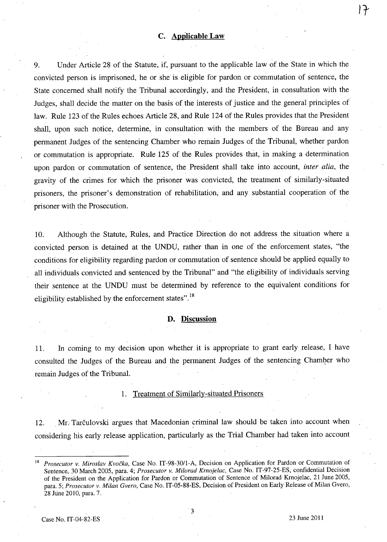#### **c. Applicable Law**

9. Under Article 28 of the Statute, if, pursuant to the applicable law of the State in which the convicted person is imprisoned, he or she is eligible for pardon or commutation of sentence, the State concerned shall notify the Tribunal accordingly, and the President, in consultation with the Judges, shall decide the matter on the basis of the interests of justice and the general principles of law. Rule 123 of the Rules echoes Article 28, and Rule 124 Of the Rules provides that the President shall, upon such notice, determine, in consultation with the members of the Bureau and any permanent Judges of the sentencing Chamber who remain Judges of the Tribunal, whether pardon or commutation is appropriate. Rule 125 of the Rules provides that, in making a determination upon pardon or commutation of sentence, the President shall take into account, *inter alia,* the gravity of the crimes for which the prisoner was convicted, the treatment of similarly-situated prisoners, the prisoner's demonstration of rehabilitation, and any substantial cooperation of the prisoner with the Prosecution.

10. Although the Statute, Rules, and Practice Direction do not address the situation where a convicted person is detained at the UNDU, rather than in one of the enforcement states, "the conditions for eligibility regarding pardon or commutation of sentence should be applied equally to all individuals convicted and sentenced by the Tribunal" and "the eligibility of individuals serving their sentence at the UNDU must be determined by reference to the equivalent conditions for eligibility established by the enforcement states".<sup>18</sup>

#### **D. Discussion**

11. In coming to my decision upon whether it is appropriate to grant early release, I have consulted the Judges of the Bureau and the permanent Judges of the sentencing Chamber who remain Judges of the Tribunal.

#### 1. Treatment of Similarly-situated Prisoners

12. Mr. Tarčulovski argues that Macedonian criminal law should be taken into account when considering his early release application, particularly as the Trial Chamber had taken into account

3

 $|7|$ 

<sup>18</sup>*Prosecutor v. Miroslav Kvocka,* Case No. IT-98-30/1-A, Decision on Application for Pardon or Commutation of Sentence, 30 March 2005, para. 4; *Prosecutor v. Milorad Krnojelac,* Case No. IT-97-25-ES, confidential Decision of the President on the Application for Pardon or Commutation of Sentence of Milorad Krnojelac, 21 June 2005, para. 5; *Prosecutor v. Milan Gvero,* Case No. IT-05-88-ES, Decisionof President on Early Release of Milan Gvero, 28 June 2010, para. 7.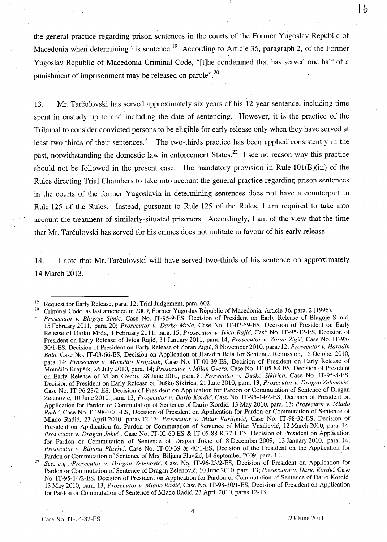the general practice regarding prison sentences in the courts of the Former Yugoslav Republic of Macedonia when determining his sentence.<sup>19</sup> According to Article 36, paragraph 2, of the Former Yugoslav Republic of Macedonia Criminal Code; "[t]he condemned that has served one half of a punishment of imprisonment may be released on parole".<sup>20</sup>

13. Mr. Tarčulovski has served approximately six years of his 12-year sentence, including time spent in custody up to and including the date of sentencing. However, it is the practice of the Tribunal to consider convicted persons to be eligible for early release only when they have served at least two-thirds of their sentences.<sup>21</sup> The two-thirds practice has been applied consistently in the past, notwithstanding the domestic law in enforcement States.<sup>22</sup> I see no reason why this practice should not be followed in the present case. The mandatory provision in Rule 101(B)(iii) of the Rules directing Trial Chambers to take into account the general practice regarding prison sentences in the courts of the former Yugoslavia in determining sentences does not have a counterpart in Rule 125 of the Rules. Instead, pursuant to Rule 125 of the Rules, I am required to take into account the treatment of similarly-situated prisoners. Accordingly, I am of the view that the time that Mr. Tarčulovski has served for his crimes does not militate in favour of his early release.

14. I note that Mr. Tarčulovski will have served two-thirds of his sentence on approximately 14 March 2013.

Case No. IT-04-82-ES  $\qquad \qquad$  .23 June 2011

**Ib** 

<sup>&</sup>lt;sup>19</sup> Request for Early Release, para. 12; Trial Judgement, para. 602.<br><sup>20</sup> City incl. Cade, as lest emanded in 2000. Formar Yugoslav Rap.

<sup>&</sup>lt;sup>20</sup> Criminal Code, as last amended in 2009, Former Yugoslav Republic of Macedonia, Article 36, para. 2 (1996).<br><sup>21</sup> Prosecutor y *Blanoje Simić, C*ase No. IT-95-9-ES. Decision of President on Early Release of Blagoje.

<sup>21</sup>*Prosecutor* v. *Blagoje Simie,* Case No. IT-95-9-ES, Decision of President on Early Release of Blagoje Simic, 15 February 2011, para. 20; *Prosecutor v. Darko Mrda*, Case No. IT-02-59-ES, Decision of President on Early Release of Darko Mrda, 1 February 2011, para. 15; *Prosecutor* v. *Ivica Rajie,* Case No. IT-95-12-ES, Decision of President on Early Release of Ivica Rajić, 31 January 2011, para. 14; *Prosecutor v. Zoran Žigić*, Case No. IT-98-30/l-ES, Decision of President on Early Release of Zoran Zigic, 8 November 2010, para. 12; *Prosecutor* v. *Haradin Bala,* Case No. IT-03-66-ES, Decision on Application of Haradin Bala for Sentence Remission, 15 October 2010, para. 14; *Prosecutor* v. *Momcilo Krajisnik,* Case No. IT-00-39-ES, Decision of President on Early Release of MomCilo Krajisik, 26 July 2010, para. 14; *Prosecutor* v. *Milan Gvero,* Case No. IT-05-88-ES, Decision of President on Early Release of Milan Gvero, 28 June 2010, para. 8; *Prosecutor v. Duško Sikirica*, Case No. IT-95-8-ES, Decision of President on Early Release of Dusko Sikirica, 21 June 2010, para. 13; *Prosecutor* v. *Dragan Zelenovie<,*  Case No. IT-96-23/2-ES, Decision of President on Application for Pardon or Commutation of Sentence of Dragan Zelenović, 10 June 2010, para. 13; Prosecutor v. *Dario Kordić*, Case No. IT-95-14/2-ES, Decision of President on Application for Pardon or Conimutation of Sentence of Dario Kordic, 13 May 2010, para. 13; *Prosecutor* v. *Mlado Radić*, Case No. IT-98-30/1-ES, Decision of President on Application for Pardon or Commutation of Sentence of Mlado Radić, 23 April 2010, paras 12-13; *Prosecutor v. Mitar Vasiljević*, Case No. IT-98-32-ES, Decision of President on Application for Pardon or Commutation of Sentence of Mitar Vasiljevic, 12 March 2010, para. 14; *Prosecutor* v. *Dragan Jokie* , Case No. IT-02-60-ES & IT-05-88-R.77.l-ES, Decision of President on Application for Pardon or Commutation of Sentence of Dragan Jokić of 8 December 2009, 13 January 2010, para. 14; *Prosecutor v. Biljana Plavšić*, Case No. IT-00-39 & 40/1-ES, Decision of the President on the Application for Pardon or Commutation of Sentence of Mrs. Biljana Plavsic, 14 September 2009, para. 10.

<sup>22</sup>*See, e.g., IProsecutor* v. *Dragan Zelenovie<,* Case No. IT-96-23/2-ES, Decision of President on Application for Pardon or Commutation of Sentence of Dragan Zelenovic, 10 June 2010, para. 13; *Prosecutor* v. *Dario Kordie,* Case No. IT-95-14/2-ES, Decision of President 'on Application for Pardon or Commutation of Sentence of Dario Kordic, 13 May 2010, para. 13; *Prosecutor* v. *Mlado Radie,* Case No. IT-98-30/1-ES, Decision of President on Application for Pardon or Commutation of Sentence of Mlado Radic; 23 April 2010, paras 12-13.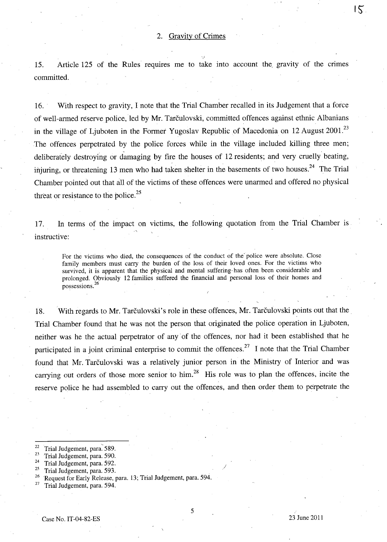15. Article 125 of the Rules requires me to take into account the gravity of the crimes committed.

',I

16. With respect to gravity, I note that the Trial Chamber recalled in its Judgement that a force of well-armed reserve police, led by Mr. Tarčulovski, committed offences against ethnic Albanians in the village of Ljuboten in the Former Yugoslav Republic of Macedonia on 12 August 2001.<sup>23</sup> The offences perpetrated by the police forces while in the village included killing three men; deliberately destroying or damaging by fire the houses of 12 residents; and very cruelly beating, injuring, or threatening 13 men who had taken shelter in the basements of two houses.<sup>24</sup> The Trial Chamber pointed out that all of the victims of these offences were unarmed and offered no physical threat or resistance to the police. $25$ 

17. **In** terms of the impact on victims, the following quotation from the Trial Chamber is instructive:

For the victims who died, the consequences of the conduct of the' police were absolute, Close family members must carry the burden of the loss of their loved ones. For the victims who survived, it is apparent that the physical and mental suffering' has often been considerable and prolonged. Obviously 12 families suffered the financial and personal loss of their homes and possessions.<sup>26</sup>

18. With regards to Mr. Tarculovski's role in these offences, Mr. Tarculovski points out that the Trial Chamber found that he was not the person that originated the police operation in Ljuboten, neither was he the actual perpetrator of any' of the offences, nor had it been established that he participated in a joint criminal enterprise to commit the offences.<sup>27</sup> I note that the Trial Chamber found that Mr. Tarčulovski was a relatively junior person in the Ministry of Interior and was carrying out orders of those more senior to him.<sup>28</sup> His role was to plan the offences, incite the reserve police he had assembled to carry out the offences, and then order them to perpetrate the

/

 $15$ 

 $\frac{22}{23}$  Trial Judgement, para. 589.

 $\frac{23}{24}$  Trial Judgement, para. 590.

 $\frac{24}{25}$  Trial Judgement, para. 592.

 $^{25}$  Trial Judgement, para. 593.

<sup>26</sup> Request for Early Release, para. 13; Trial Judgement, para. 594.

<sup>&</sup>lt;sup>27</sup> Trial Judgement, para. 594.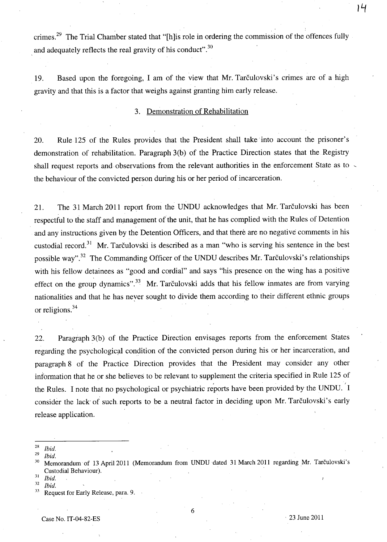crimes.<sup>29</sup> The Trial Chamber stated that "[h]is role in ordering the commission of the offences fully and adequately reflects the real gravity of his conduct".<sup>30</sup>

19. Based upon the foregoing, I am of the view that Mr. Tarculovski's crimes are of a high gravity and that this is a factor that weighs against granting him early release.

# 3. Demonstration of Rehabilitation

20. Rule 125 of the Rules provides that the President shall take into account the prisoner's demonstration of rehabilitation. Paragraph 3(b) of the Practice Direction states that the Registry shall request reports and observations from the relevant authorities in the enforcement State as to  $\sim$ the behaviour of the convicted person during his or her period of incarceration.

21. The 31 March 2011 report from the UNDU acknowledges that Mr. Tarculovski has been respectful to the staff and management of the unit, that he has complied with the Rules of Detention and any instructions given by the Detention Officers, and that there are no negative comments in his custodial record.<sup>31</sup> Mr. Tarčulovski is described as a man "who is serving his sentence in the best possible way".<sup>32</sup> The Commanding Officer of the UNDU describes Mr. Tarculovski's relationships with his fellow detainees as "good and cordial" and says "his presence on the wing has a positive effect on the group dynamics".<sup>33</sup> Mr. Tarculovski adds that his fellow inmates are from varying nationalities and that he has neyer sought to divide them according to their different ethnic groups or religions.<sup>34</sup>

22. Paragraph 3(b) of the Practice Direction envisages reports from the enforcement States regarding the psychological condition of the convicted person during his or her incarceration, and paragraph 8 of the Practice Direction provides that the President may consider any other information that he or she believes to be relevant to supplement the criteria specified in Rule 125 of the Rules. I note that no psychological or psychiatric reports have been provided by the UNDU. I consider the lack of such reports to be a neutral factor in deciding upon Mr. Tarčulovski's early release application.

*29 Ibid.* 

- <sup>31</sup>*Ibid.*
- <sup>32</sup>*Ibid.*

**It;** 

<sup>28</sup>*Ibid.* 

<sup>&</sup>lt;sup>30</sup> Memorandum of 13 April 2011 (Memorandum from UNDU dated 31 March 2011 regarding Mr. Tarčulovski's Custodial Behaviour).

Request for Early Release, para. 9.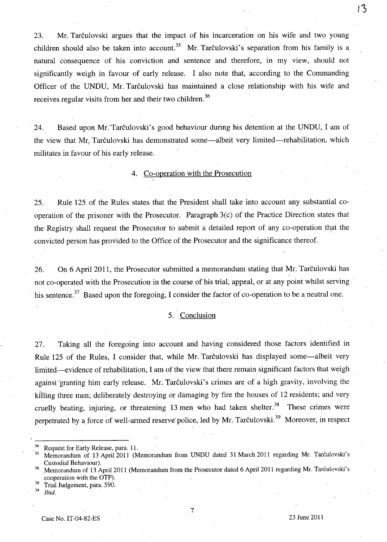23. Mr. Tarculovski argues that the impact of his incarceration on his wife and two young children should also be taken into account.<sup>35</sup> Mr. Tarčulovski's separation from his family is a natural consequence of his conviction and sentence and therefore, in my view, should not significantly weigh in favour of early release. I also note that, according to the Commanding Officer of the UNDU, Mr. Tarčulovski has maintained a close relationship with his wife and receives regular visits from her and their two children.<sup>36</sup>

24. Based upon Mr. Tarčulovski's good behaviour during his detention at the UNDU, I am of the view that Mr. Tarculovski has demonstrated some—albeit very limited—rehabilitation, which militates in favour of his early release.

4. Co-operation with the Prosecution

25. Rule 125 of the Rules states that the President shall take into account any substantial cooperation of the prisoner with the Prosecutor. Paragraph 3(c) of the Practice Direction states that the Registry shall request the Prosecutor to submit a detailed report of any co-operation that the convicted person has provided to the Office of the Prosecutor and the significance thereof.

26. On 6 April 2011, the Prosecutor submitted a memorandum stating that Mr. Tarčulovski has not co-operated with the Prosecution in the course of his trial, appeal, or at any point whilst serving his sentence.<sup>37</sup> Based upon the foregoing, I consider the factor of co-operation to be a neutral one.

#### 5. Conclusion

27. Taking all the foregoing into account and having considered those factors identified in Rule 125 of the Rules, I consider that, while Mr. Tarčulovski has displayed some—albeit very limited-evidence of rehabilitation, I am of the view that there remain significant factors that weigh against 'granting him early release. Mr. Tarčulovski's crimes are of a high gravity, involving the killing three men; deliberately destroying or damaging by fire the houses of 12 residents; and very cruelly beating, injuring, or threatening 13 men who had taken shelter.<sup>38</sup> These crimes were perpetrated by a force of well-armed reserve police, led by Mr. Tarculovski.<sup>39</sup> Moreover, in respect

 $3^3$  Request for Early Release, para. 11.

 $\frac{38}{38}$  Trial Judgement, para. 590.

Ibid.

<sup>35</sup> Memorandum of 13 April 2011 (Memorandum from UNDU dated 31 March 2011 regarding Mr. Tarculovski's Custodial Behaviour). .

Memorandum of 13 April 2011 (Memorandum from the Prosecutor dated 6 April 2011 regarding Mr. Tarčulovski's cooperation with the OTP).